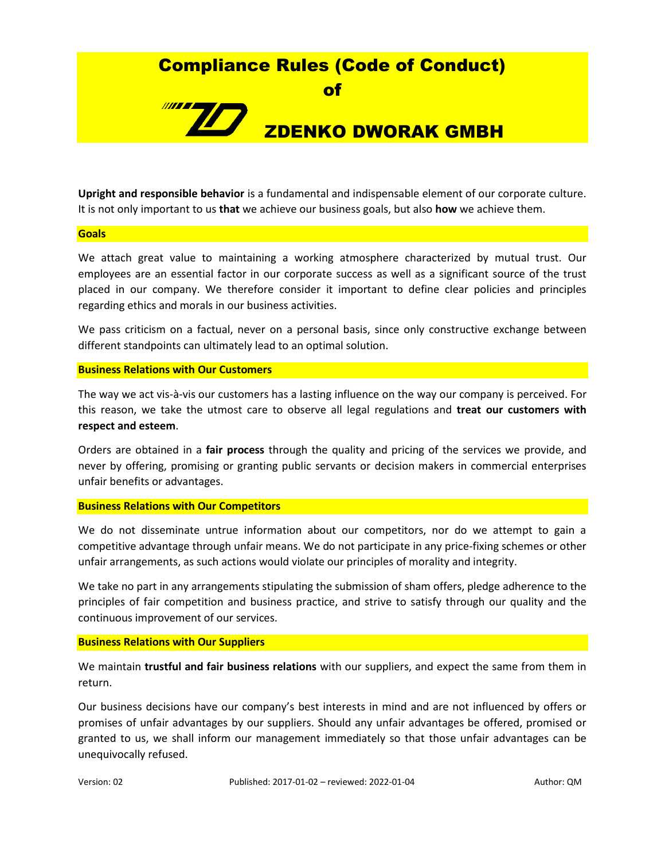## Compliance Rules (Code of Conduct)

of

# //**////** ZDENKO DWORAK GMBH

**Upright and responsible behavior** is a fundamental and indispensable element of our corporate culture. It is not only important to us **that** we achieve our business goals, but also **how** we achieve them.

#### **Goals**

We attach great value to maintaining a working atmosphere characterized by mutual trust. Our employees are an essential factor in our corporate success as well as a significant source of the trust placed in our company. We therefore consider it important to define clear policies and principles regarding ethics and morals in our business activities.

We pass criticism on a factual, never on a personal basis, since only constructive exchange between different standpoints can ultimately lead to an optimal solution.

## **Business Relations with Our Customers**

The way we act vis-à-vis our customers has a lasting influence on the way our company is perceived. For this reason, we take the utmost care to observe all legal regulations and **treat our customers with respect and esteem**.

Orders are obtained in a **fair process** through the quality and pricing of the services we provide, and never by offering, promising or granting public servants or decision makers in commercial enterprises unfair benefits or advantages.

## **Business Relations with Our Competitors**

We do not disseminate untrue information about our competitors, nor do we attempt to gain a competitive advantage through unfair means. We do not participate in any price-fixing schemes or other unfair arrangements, as such actions would violate our principles of morality and integrity.

We take no part in any arrangements stipulating the submission of sham offers, pledge adherence to the principles of fair competition and business practice, and strive to satisfy through our quality and the continuous improvement of our services.

## **Business Relations with Our Suppliers**

We maintain **trustful and fair business relations** with our suppliers, and expect the same from them in return.

Our business decisions have our company's best interests in mind and are not influenced by offers or promises of unfair advantages by our suppliers. Should any unfair advantages be offered, promised or granted to us, we shall inform our management immediately so that those unfair advantages can be unequivocally refused.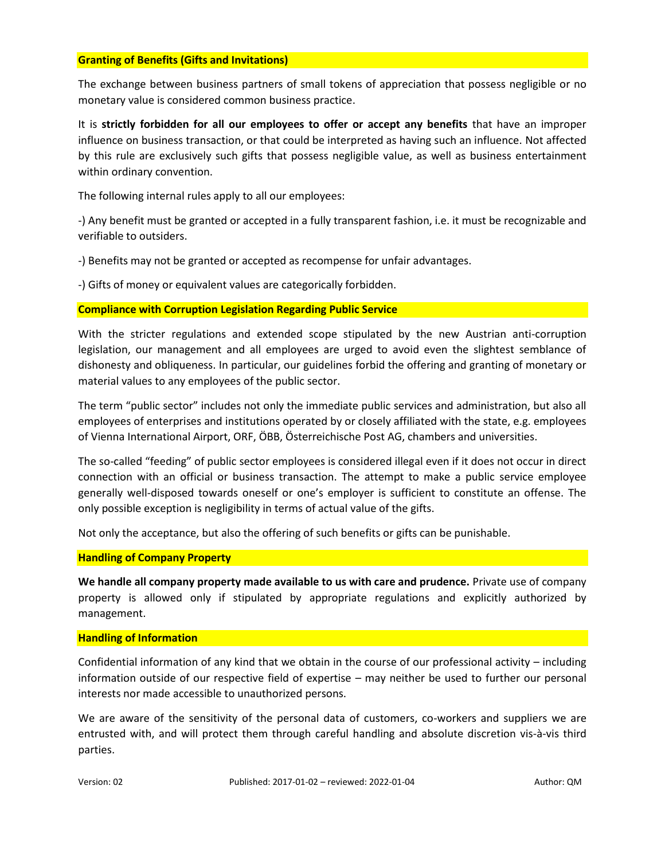## **Granting of Benefits (Gifts and Invitations)**

The exchange between business partners of small tokens of appreciation that possess negligible or no monetary value is considered common business practice.

It is **strictly forbidden for all our employees to offer or accept any benefits** that have an improper influence on business transaction, or that could be interpreted as having such an influence. Not affected by this rule are exclusively such gifts that possess negligible value, as well as business entertainment within ordinary convention.

The following internal rules apply to all our employees:

-) Any benefit must be granted or accepted in a fully transparent fashion, i.e. it must be recognizable and verifiable to outsiders.

-) Benefits may not be granted or accepted as recompense for unfair advantages.

-) Gifts of money or equivalent values are categorically forbidden.

## **Compliance with Corruption Legislation Regarding Public Service**

With the stricter regulations and extended scope stipulated by the new Austrian anti-corruption legislation, our management and all employees are urged to avoid even the slightest semblance of dishonesty and obliqueness. In particular, our guidelines forbid the offering and granting of monetary or material values to any employees of the public sector.

The term "public sector" includes not only the immediate public services and administration, but also all employees of enterprises and institutions operated by or closely affiliated with the state, e.g. employees of Vienna International Airport, ORF, ÖBB, Österreichische Post AG, chambers and universities.

The so-called "feeding" of public sector employees is considered illegal even if it does not occur in direct connection with an official or business transaction. The attempt to make a public service employee generally well-disposed towards oneself or one's employer is sufficient to constitute an offense. The only possible exception is negligibility in terms of actual value of the gifts.

Not only the acceptance, but also the offering of such benefits or gifts can be punishable.

## **Handling of Company Property**

**We handle all company property made available to us with care and prudence.** Private use of company property is allowed only if stipulated by appropriate regulations and explicitly authorized by management.

## **Handling of Information**

Confidential information of any kind that we obtain in the course of our professional activity – including information outside of our respective field of expertise – may neither be used to further our personal interests nor made accessible to unauthorized persons.

We are aware of the sensitivity of the personal data of customers, co-workers and suppliers we are entrusted with, and will protect them through careful handling and absolute discretion vis-à-vis third parties.